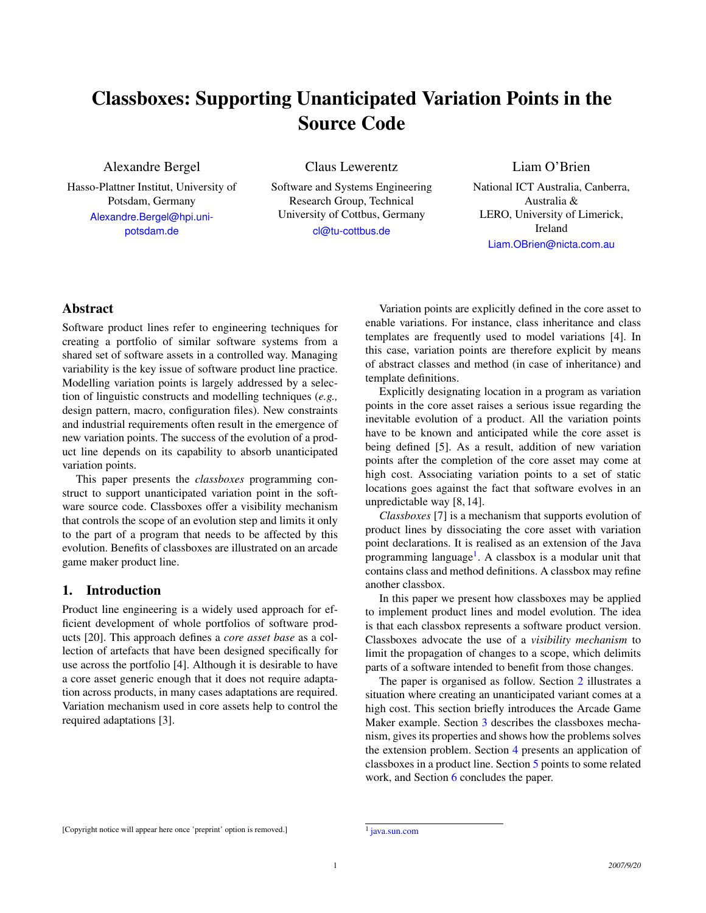# Classboxes: Supporting Unanticipated Variation Points in the Source Code

# Alexandre Bergel

Hasso-Plattner Institut, University of Potsdam, Germany [Alexandre.Bergel@hpi.uni](mailto:Alexandre.Bergel@hpi.uni-potsdam.de)[potsdam.de](mailto:Alexandre.Bergel@hpi.uni-potsdam.de)

Software and Systems Engineering Research Group, Technical University of Cottbus, Germany [cl@tu-cottbus.de](mailto:cl@informatik.tu-cottbus.de)

Claus Lewerentz

Liam O'Brien

National ICT Australia, Canberra, Australia & LERO, University of Limerick, Ireland [Liam.OBrien@nicta.com.au](mailto:Liam.OBrien@nicta.com.au)

# Abstract

Software product lines refer to engineering techniques for creating a portfolio of similar software systems from a shared set of software assets in a controlled way. Managing variability is the key issue of software product line practice. Modelling variation points is largely addressed by a selection of linguistic constructs and modelling techniques (*e.g.,* design pattern, macro, configuration files). New constraints and industrial requirements often result in the emergence of new variation points. The success of the evolution of a product line depends on its capability to absorb unanticipated variation points.

This paper presents the *classboxes* programming construct to support unanticipated variation point in the software source code. Classboxes offer a visibility mechanism that controls the scope of an evolution step and limits it only to the part of a program that needs to be affected by this evolution. Benefits of classboxes are illustrated on an arcade game maker product line.

# 1. Introduction

Product line engineering is a widely used approach for efficient development of whole portfolios of software products [20]. This approach defines a *core asset base* as a collection of artefacts that have been designed specifically for use across the portfolio [4]. Although it is desirable to have a core asset generic enough that it does not require adaptation across products, in many cases adaptations are required. Variation mechanism used in core assets help to control the required adaptations [3].

Variation points are explicitly defined in the core asset to enable variations. For instance, class inheritance and class templates are frequently used to model variations [4]. In this case, variation points are therefore explicit by means of abstract classes and method (in case of inheritance) and template definitions.

Explicitly designating location in a program as variation points in the core asset raises a serious issue regarding the inevitable evolution of a product. All the variation points have to be known and anticipated while the core asset is being defined [5]. As a result, addition of new variation points after the completion of the core asset may come at high cost. Associating variation points to a set of static locations goes against the fact that software evolves in an unpredictable way [8, 14].

*Classboxes* [7] is a mechanism that supports evolution of product lines by dissociating the core asset with variation point declarations. It is realised as an extension of the Java programming language<sup>[1](#page-0-0)</sup>. A classbox is a modular unit that contains class and method definitions. A classbox may refine another classbox.

In this paper we present how classboxes may be applied to implement product lines and model evolution. The idea is that each classbox represents a software product version. Classboxes advocate the use of a *visibility mechanism* to limit the propagation of changes to a scope, which delimits parts of a software intended to benefit from those changes.

<span id="page-0-0"></span>The paper is organised as follow. Section [2](#page-1-0) illustrates a situation where creating an unanticipated variant comes at a high cost. This section briefly introduces the Arcade Game Maker example. Section [3](#page-1-1) describes the classboxes mechanism, gives its properties and shows how the problems solves the extension problem. Section [4](#page-3-0) presents an application of classboxes in a product line. Section [5](#page-3-1) points to some related work, and Section [6](#page-4-0) concludes the paper.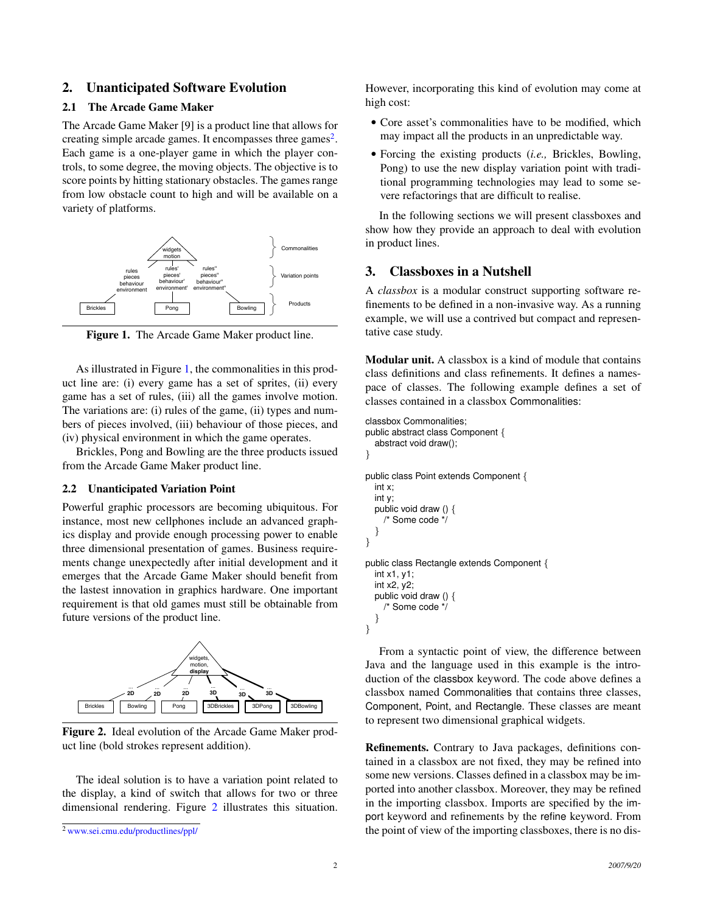## <span id="page-1-0"></span>2. Unanticipated Software Evolution

## 2.1 The Arcade Game Maker

The Arcade Game Maker [9] is a product line that allows for creating simple arcade games. It encompasses three games<sup>[2](#page-1-2)</sup>. Each game is a one-player game in which the player controls, to some degree, the moving objects. The objective is to score points by hitting stationary obstacles. The games range from low obstacle count to high and will be available on a variety of platforms.



<span id="page-1-3"></span>Figure 1. The Arcade Game Maker product line.

As illustrated in Figure [1,](#page-1-3) the commonalities in this product line are: (i) every game has a set of sprites, (ii) every game has a set of rules, (iii) all the games involve motion. The variations are: (i) rules of the game, (ii) types and numbers of pieces involved, (iii) behaviour of those pieces, and (iv) physical environment in which the game operates.

Brickles, Pong and Bowling are the three products issued from the Arcade Game Maker product line.

#### 2.2 Unanticipated Variation Point

Powerful graphic processors are becoming ubiquitous. For instance, most new cellphones include an advanced graphics display and provide enough processing power to enable three dimensional presentation of games. Business requirements change unexpectedly after initial development and it emerges that the Arcade Game Maker should benefit from the lastest innovation in graphics hardware. One important requirement is that old games must still be obtainable from future versions of the product line.



<span id="page-1-4"></span>Figure 2. Ideal evolution of the Arcade Game Maker product line (bold strokes represent addition).

The ideal solution is to have a variation point related to the display, a kind of switch that allows for two or three dimensional rendering. Figure [2](#page-1-4) illustrates this situation.

However, incorporating this kind of evolution may come at high cost:

- Core asset's commonalities have to be modified, which may impact all the products in an unpredictable way.
- Forcing the existing products (*i.e.,* Brickles, Bowling, Pong) to use the new display variation point with traditional programming technologies may lead to some severe refactorings that are difficult to realise.

In the following sections we will present classboxes and show how they provide an approach to deal with evolution in product lines.

## <span id="page-1-1"></span>3. Classboxes in a Nutshell

A *classbox* is a modular construct supporting software refinements to be defined in a non-invasive way. As a running example, we will use a contrived but compact and representative case study.

Modular unit. A classbox is a kind of module that contains class definitions and class refinements. It defines a namespace of classes. The following example defines a set of classes contained in a classbox Commonalities:

```
classbox Commonalities;
public abstract class Component {
  abstract void draw();
}
public class Point extends Component {
  int x;
  int y;
  public void draw () {
    /* Some code */
  }
}
public class Rectangle extends Component {
  int x1, y1;
  int x2, y2;
  public void draw () {
    /* Some code */
  }
}
```
From a syntactic point of view, the difference between Java and the language used in this example is the introduction of the classbox keyword. The code above defines a classbox named Commonalities that contains three classes, Component, Point, and Rectangle. These classes are meant to represent two dimensional graphical widgets.

Refinements. Contrary to Java packages, definitions contained in a classbox are not fixed, they may be refined into some new versions. Classes defined in a classbox may be imported into another classbox. Moreover, they may be refined in the importing classbox. Imports are specified by the import keyword and refinements by the refine keyword. From the point of view of the importing classboxes, there is no dis-

<span id="page-1-2"></span><sup>2</sup> [www.sei.cmu.edu/productlines/ppl/](http://www.sei.cmu.edu/productlines/ppl/)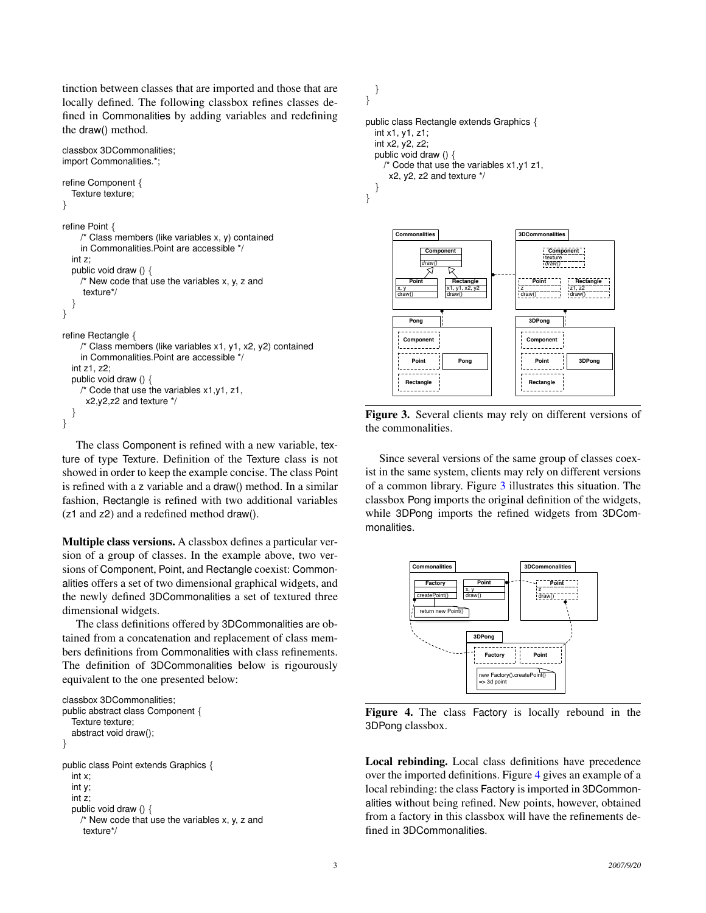tinction between classes that are imported and those that are locally defined. The following classbox refines classes defined in Commonalities by adding variables and redefining the draw() method.

```
classbox 3DCommonalities;
import Commonalities.*;
refine Component {
  Texture texture;
}
refine Point {
     /* Class members (like variables x, y) contained
    in Commonalities.Point are accessible */
  int z;
  public void draw () {
    /* New code that use the variables x, y, z and
     texture*/
  }
}
refine Rectangle {
     /* Class members (like variables x1, y1, x2, y2) contained
    in Commonalities.Point are accessible */
  int z1, z2;
  public void draw () {
    /* Code that use the variables x1,y1, z1,
      x2,y2,z2 and texture */
  }
}
```
The class Component is refined with a new variable, texture of type Texture. Definition of the Texture class is not showed in order to keep the example concise. The class Point is refined with a z variable and a draw() method. In a similar fashion, Rectangle is refined with two additional variables (z1 and z2) and a redefined method draw().

Multiple class versions. A classbox defines a particular version of a group of classes. In the example above, two versions of Component, Point, and Rectangle coexist: Commonalities offers a set of two dimensional graphical widgets, and the newly defined 3DCommonalities a set of textured three dimensional widgets.

The class definitions offered by 3DCommonalities are obtained from a concatenation and replacement of class members definitions from Commonalities with class refinements. The definition of 3DCommonalities below is rigourously equivalent to the one presented below:

```
classbox 3DCommonalities;
public abstract class Component {
  Texture texture:
  abstract void draw();
}
public class Point extends Graphics {
  int x;
  int y;
  int z;
  public void draw () {
    /* New code that use the variables x, y, z and
     texture*/
```
} }

```
public class Rectangle extends Graphics {
  int x1, y1, z1;
  int x2, y2, z2;
  public void draw () {
    /* Code that use the variables x1,y1 z1,
      x2, y2, z2 and texture */
  }
}
```


<span id="page-2-0"></span>Figure 3. Several clients may rely on different versions of the commonalities.

Since several versions of the same group of classes coexist in the same system, clients may rely on different versions of a common library. Figure [3](#page-2-0) illustrates this situation. The classbox Pong imports the original definition of the widgets, while 3DPong imports the refined widgets from 3DCommonalities.



<span id="page-2-1"></span>Figure 4. The class Factory is locally rebound in the 3DPong classbox.

Local rebinding. Local class definitions have precedence over the imported definitions. Figure [4](#page-2-1) gives an example of a local rebinding: the class Factory is imported in 3DCommonalities without being refined. New points, however, obtained from a factory in this classbox will have the refinements defined in 3DCommonalities.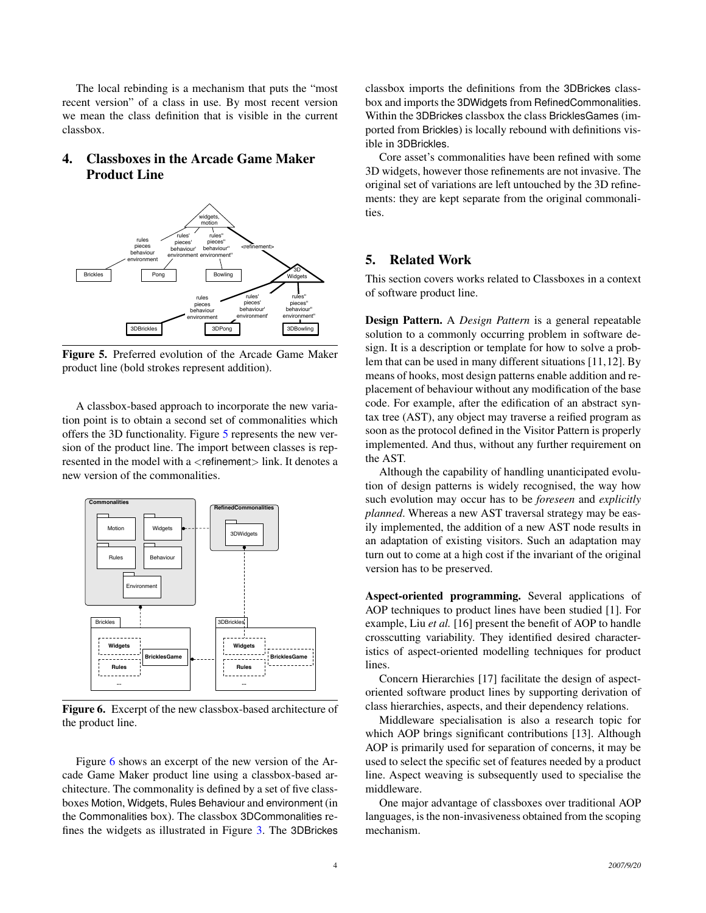The local rebinding is a mechanism that puts the "most recent version" of a class in use. By most recent version we mean the class definition that is visible in the current classbox.

# <span id="page-3-0"></span>4. Classboxes in the Arcade Game Maker Product Line



<span id="page-3-2"></span>Figure 5. Preferred evolution of the Arcade Game Maker product line (bold strokes represent addition).

A classbox-based approach to incorporate the new variation point is to obtain a second set of commonalities which offers the 3D functionality. Figure [5](#page-3-2) represents the new version of the product line. The import between classes is represented in the model with a <refinement> link. It denotes a new version of the commonalities.



<span id="page-3-3"></span>Figure 6. Excerpt of the new classbox-based architecture of the product line.

Figure [6](#page-3-3) shows an excerpt of the new version of the Arcade Game Maker product line using a classbox-based architecture. The commonality is defined by a set of five classboxes Motion, Widgets, Rules Behaviour and environment (in the Commonalities box). The classbox 3DCommonalities refines the widgets as illustrated in Figure [3.](#page-2-0) The 3DBrickes classbox imports the definitions from the 3DBrickes classbox and imports the 3DWidgets from RefinedCommonalities. Within the 3DBrickes classbox the class BricklesGames (imported from Brickles) is locally rebound with definitions visible in 3DBrickles.

Core asset's commonalities have been refined with some 3D widgets, however those refinements are not invasive. The original set of variations are left untouched by the 3D refinements: they are kept separate from the original commonalities.

# <span id="page-3-1"></span>5. Related Work

This section covers works related to Classboxes in a context of software product line.

Design Pattern. A *Design Pattern* is a general repeatable solution to a commonly occurring problem in software design. It is a description or template for how to solve a problem that can be used in many different situations [11,12]. By means of hooks, most design patterns enable addition and replacement of behaviour without any modification of the base code. For example, after the edification of an abstract syntax tree (AST), any object may traverse a reified program as soon as the protocol defined in the Visitor Pattern is properly implemented. And thus, without any further requirement on the AST.

Although the capability of handling unanticipated evolution of design patterns is widely recognised, the way how such evolution may occur has to be *foreseen* and *explicitly planned*. Whereas a new AST traversal strategy may be easily implemented, the addition of a new AST node results in an adaptation of existing visitors. Such an adaptation may turn out to come at a high cost if the invariant of the original version has to be preserved.

Aspect-oriented programming. Several applications of AOP techniques to product lines have been studied [1]. For example, Liu *et al.* [16] present the benefit of AOP to handle crosscutting variability. They identified desired characteristics of aspect-oriented modelling techniques for product lines.

Concern Hierarchies [17] facilitate the design of aspectoriented software product lines by supporting derivation of class hierarchies, aspects, and their dependency relations.

Middleware specialisation is also a research topic for which AOP brings significant contributions [13]. Although AOP is primarily used for separation of concerns, it may be used to select the specific set of features needed by a product line. Aspect weaving is subsequently used to specialise the middleware.

One major advantage of classboxes over traditional AOP languages, is the non-invasiveness obtained from the scoping mechanism.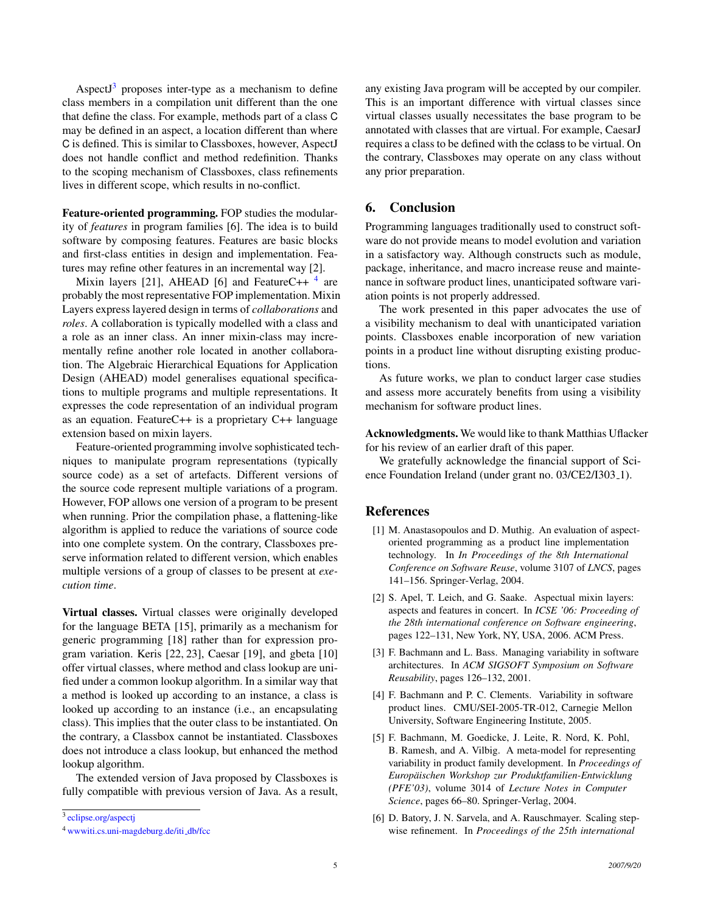Aspect $J<sup>3</sup>$  $J<sup>3</sup>$  $J<sup>3</sup>$  proposes inter-type as a mechanism to define class members in a compilation unit different than the one that define the class. For example, methods part of a class C may be defined in an aspect, a location different than where C is defined. This is similar to Classboxes, however, AspectJ does not handle conflict and method redefinition. Thanks to the scoping mechanism of Classboxes, class refinements lives in different scope, which results in no-conflict.

Feature-oriented programming. FOP studies the modularity of *features* in program families [6]. The idea is to build software by composing features. Features are basic blocks and first-class entities in design and implementation. Features may refine other features in an incremental way [2].

Mixin layers [21], AHEAD [6] and FeatureC++ <sup>[4](#page-4-2)</sup> are probably the most representative FOP implementation. Mixin Layers express layered design in terms of *collaborations* and *roles*. A collaboration is typically modelled with a class and a role as an inner class. An inner mixin-class may incrementally refine another role located in another collaboration. The Algebraic Hierarchical Equations for Application Design (AHEAD) model generalises equational specifications to multiple programs and multiple representations. It expresses the code representation of an individual program as an equation. FeatureC++ is a proprietary C++ language extension based on mixin layers.

Feature-oriented programming involve sophisticated techniques to manipulate program representations (typically source code) as a set of artefacts. Different versions of the source code represent multiple variations of a program. However, FOP allows one version of a program to be present when running. Prior the compilation phase, a flattening-like algorithm is applied to reduce the variations of source code into one complete system. On the contrary, Classboxes preserve information related to different version, which enables multiple versions of a group of classes to be present at *execution time*.

Virtual classes. Virtual classes were originally developed for the language BETA [15], primarily as a mechanism for generic programming [18] rather than for expression program variation. Keris [22, 23], Caesar [19], and gbeta [10] offer virtual classes, where method and class lookup are unified under a common lookup algorithm. In a similar way that a method is looked up according to an instance, a class is looked up according to an instance (i.e., an encapsulating class). This implies that the outer class to be instantiated. On the contrary, a Classbox cannot be instantiated. Classboxes does not introduce a class lookup, but enhanced the method lookup algorithm.

The extended version of Java proposed by Classboxes is fully compatible with previous version of Java. As a result,

<span id="page-4-1"></span><sup>3</sup> [eclipse.org/aspectj](http://eclipse.org/aspectj)

any existing Java program will be accepted by our compiler. This is an important difference with virtual classes since virtual classes usually necessitates the base program to be annotated with classes that are virtual. For example, CaesarJ requires a class to be defined with the cclass to be virtual. On the contrary, Classboxes may operate on any class without any prior preparation.

## <span id="page-4-0"></span>6. Conclusion

Programming languages traditionally used to construct software do not provide means to model evolution and variation in a satisfactory way. Although constructs such as module, package, inheritance, and macro increase reuse and maintenance in software product lines, unanticipated software variation points is not properly addressed.

The work presented in this paper advocates the use of a visibility mechanism to deal with unanticipated variation points. Classboxes enable incorporation of new variation points in a product line without disrupting existing productions.

As future works, we plan to conduct larger case studies and assess more accurately benefits from using a visibility mechanism for software product lines.

Acknowledgments. We would like to thank Matthias Uflacker for his review of an earlier draft of this paper.

We gratefully acknowledge the financial support of Science Foundation Ireland (under grant no. 03/CE2/I303<sub>-1</sub>).

## References

- [1] M. Anastasopoulos and D. Muthig. An evaluation of aspectoriented programming as a product line implementation technology. In *In Proceedings of the 8th International Conference on Software Reuse*, volume 3107 of *LNCS*, pages 141–156. Springer-Verlag, 2004.
- [2] S. Apel, T. Leich, and G. Saake. Aspectual mixin layers: aspects and features in concert. In *ICSE '06: Proceeding of the 28th international conference on Software engineering*, pages 122–131, New York, NY, USA, 2006. ACM Press.
- [3] F. Bachmann and L. Bass. Managing variability in software architectures. In *ACM SIGSOFT Symposium on Software Reusability*, pages 126–132, 2001.
- [4] F. Bachmann and P. C. Clements. Variability in software product lines. CMU/SEI-2005-TR-012, Carnegie Mellon University, Software Engineering Institute, 2005.
- [5] F. Bachmann, M. Goedicke, J. Leite, R. Nord, K. Pohl, B. Ramesh, and A. Vilbig. A meta-model for representing variability in product family development. In *Proceedings of Europaischen Workshop zur Produktfamilien-Entwicklung ¨ (PFE'03)*, volume 3014 of *Lecture Notes in Computer Science*, pages 66–80. Springer-Verlag, 2004.
- [6] D. Batory, J. N. Sarvela, and A. Rauschmayer. Scaling stepwise refinement. In *Proceedings of the 25th international*

<span id="page-4-2"></span><sup>4</sup> [wwwiti.cs.uni-magdeburg.de/iti](http://wwwiti.cs.uni-magdeburg.de/iti_db/fcc) db/fcc